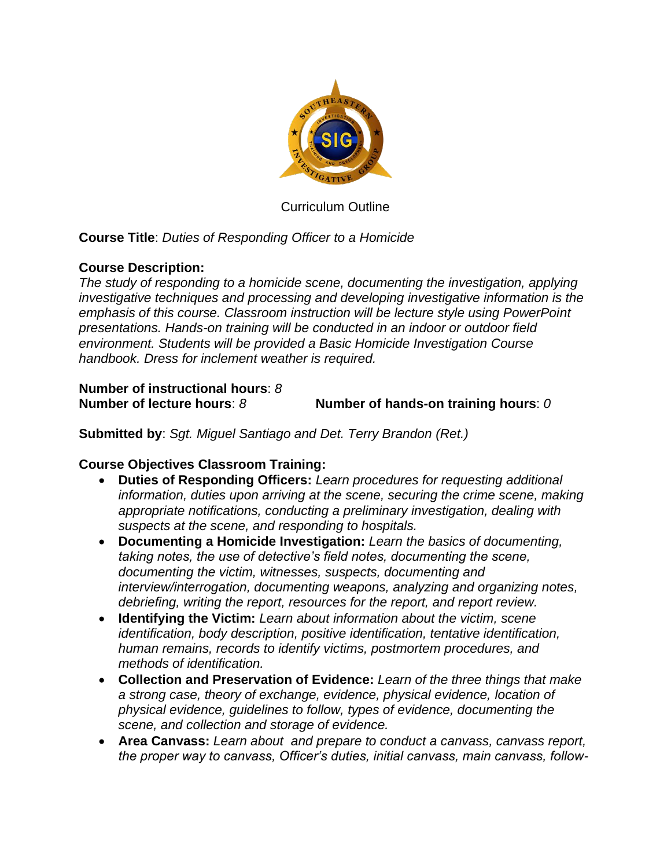

Curriculum Outline

## **Course Title**: *Duties of Responding Officer to a Homicide*

## **Course Description:**

*The study of responding to a homicide scene, documenting the investigation, applying investigative techniques and processing and developing investigative information is the emphasis of this course. Classroom instruction will be lecture style using PowerPoint presentations. Hands-on training will be conducted in an indoor or outdoor field environment. Students will be provided a Basic Homicide Investigation Course handbook. Dress for inclement weather is required.*

## **Number of instructional hours**: *8*

**Number of lecture hours**: *8* **Number of hands-on training hours**: *0*

**Submitted by**: *Sgt. Miguel Santiago and Det. Terry Brandon (Ret.)*

## **Course Objectives Classroom Training:**

- **Duties of Responding Officers:** *Learn procedures for requesting additional information, duties upon arriving at the scene, securing the crime scene, making appropriate notifications, conducting a preliminary investigation, dealing with suspects at the scene, and responding to hospitals.*
- **Documenting a Homicide Investigation:** *Learn the basics of documenting, taking notes, the use of detective's field notes, documenting the scene, documenting the victim, witnesses, suspects, documenting and interview/interrogation, documenting weapons, analyzing and organizing notes, debriefing, writing the report, resources for the report, and report review.*
- **Identifying the Victim:** *Learn about information about the victim, scene identification, body description, positive identification, tentative identification, human remains, records to identify victims, postmortem procedures, and methods of identification.*
- **Collection and Preservation of Evidence:** *Learn of the three things that make a strong case, theory of exchange, evidence, physical evidence, location of physical evidence, guidelines to follow, types of evidence, documenting the scene, and collection and storage of evidence.*
- **Area Canvass:** *Learn about and prepare to conduct a canvass, canvass report, the proper way to canvass, Officer's duties, initial canvass, main canvass, follow-*